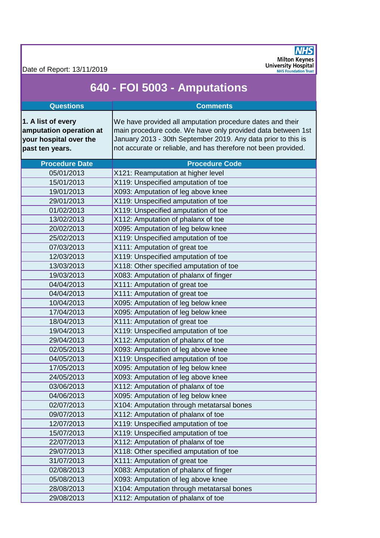Date of Report: 13/11/2019



## **640 - FOI 5003 - Amputations**

| <b>Questions</b>                                                                           | <b>Comments</b>                                                                                                                                                                                                                                             |
|--------------------------------------------------------------------------------------------|-------------------------------------------------------------------------------------------------------------------------------------------------------------------------------------------------------------------------------------------------------------|
| 1. A list of every<br>amputation operation at<br>your hospital over the<br>past ten years. | We have provided all amputation procedure dates and their<br>main procedure code. We have only provided data between 1st<br>January 2013 - 30th September 2019. Any data prior to this is<br>not accurate or reliable, and has therefore not been provided. |
| <b>Procedure Date</b>                                                                      | <b>Procedure Code</b>                                                                                                                                                                                                                                       |
| 05/01/2013                                                                                 | X121: Reamputation at higher level                                                                                                                                                                                                                          |
| 15/01/2013                                                                                 | X119: Unspecified amputation of toe                                                                                                                                                                                                                         |
| 19/01/2013                                                                                 | X093: Amputation of leg above knee                                                                                                                                                                                                                          |
| 29/01/2013                                                                                 | X119: Unspecified amputation of toe                                                                                                                                                                                                                         |
| 01/02/2013                                                                                 | X119: Unspecified amputation of toe                                                                                                                                                                                                                         |
| 13/02/2013                                                                                 | X112: Amputation of phalanx of toe                                                                                                                                                                                                                          |
| 20/02/2013                                                                                 | X095: Amputation of leg below knee                                                                                                                                                                                                                          |
| 25/02/2013                                                                                 | X119: Unspecified amputation of toe                                                                                                                                                                                                                         |
| 07/03/2013                                                                                 | X111: Amputation of great toe                                                                                                                                                                                                                               |
| 12/03/2013                                                                                 | X119: Unspecified amputation of toe                                                                                                                                                                                                                         |
| 13/03/2013                                                                                 | X118: Other specified amputation of toe                                                                                                                                                                                                                     |
| 19/03/2013                                                                                 | X083: Amputation of phalanx of finger                                                                                                                                                                                                                       |
| 04/04/2013                                                                                 | X111: Amputation of great toe                                                                                                                                                                                                                               |
| 04/04/2013                                                                                 | X111: Amputation of great toe                                                                                                                                                                                                                               |
| 10/04/2013                                                                                 | X095: Amputation of leg below knee                                                                                                                                                                                                                          |
| 17/04/2013                                                                                 | X095: Amputation of leg below knee                                                                                                                                                                                                                          |
| 18/04/2013                                                                                 | X111: Amputation of great toe                                                                                                                                                                                                                               |
| 19/04/2013                                                                                 | X119: Unspecified amputation of toe                                                                                                                                                                                                                         |
| 29/04/2013                                                                                 | X112: Amputation of phalanx of toe                                                                                                                                                                                                                          |
| 02/05/2013                                                                                 | X093: Amputation of leg above knee                                                                                                                                                                                                                          |
| 04/05/2013                                                                                 | X119: Unspecified amputation of toe                                                                                                                                                                                                                         |
| 17/05/2013                                                                                 | X095: Amputation of leg below knee                                                                                                                                                                                                                          |
| 24/05/2013                                                                                 | X093: Amputation of leg above knee                                                                                                                                                                                                                          |
| 03/06/2013                                                                                 | X112: Amputation of phalanx of toe                                                                                                                                                                                                                          |
| 04/06/2013                                                                                 | X095: Amputation of leg below knee                                                                                                                                                                                                                          |
| 02/07/2013                                                                                 | X104: Amputation through metatarsal bones                                                                                                                                                                                                                   |
| 09/07/2013                                                                                 | X112: Amputation of phalanx of toe                                                                                                                                                                                                                          |
| 12/07/2013                                                                                 | X119: Unspecified amputation of toe                                                                                                                                                                                                                         |
| 15/07/2013                                                                                 | X119: Unspecified amputation of toe                                                                                                                                                                                                                         |
| 22/07/2013                                                                                 | X112: Amputation of phalanx of toe                                                                                                                                                                                                                          |
| 29/07/2013                                                                                 | X118: Other specified amputation of toe                                                                                                                                                                                                                     |
| 31/07/2013                                                                                 | X111: Amputation of great toe                                                                                                                                                                                                                               |
| 02/08/2013                                                                                 | X083: Amputation of phalanx of finger                                                                                                                                                                                                                       |
| 05/08/2013                                                                                 | X093: Amputation of leg above knee                                                                                                                                                                                                                          |
| 28/08/2013                                                                                 | X104: Amputation through metatarsal bones                                                                                                                                                                                                                   |
| 29/08/2013                                                                                 | X112: Amputation of phalanx of toe                                                                                                                                                                                                                          |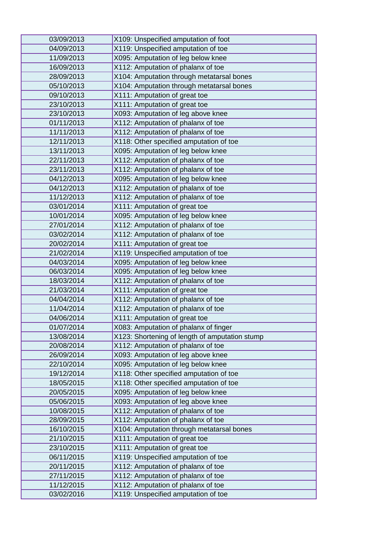| 03/09/2013 | X109: Unspecified amputation of foot           |
|------------|------------------------------------------------|
| 04/09/2013 | X119: Unspecified amputation of toe            |
| 11/09/2013 | X095: Amputation of leg below knee             |
| 16/09/2013 | X112: Amputation of phalanx of toe             |
| 28/09/2013 | X104: Amputation through metatarsal bones      |
| 05/10/2013 | X104: Amputation through metatarsal bones      |
| 09/10/2013 | X111: Amputation of great toe                  |
| 23/10/2013 | X111: Amputation of great toe                  |
| 23/10/2013 | X093: Amputation of leg above knee             |
| 01/11/2013 | X112: Amputation of phalanx of toe             |
| 11/11/2013 | X112: Amputation of phalanx of toe             |
| 12/11/2013 | X118: Other specified amputation of toe        |
| 13/11/2013 | X095: Amputation of leg below knee             |
| 22/11/2013 | X112: Amputation of phalanx of toe             |
| 23/11/2013 | X112: Amputation of phalanx of toe             |
| 04/12/2013 | X095: Amputation of leg below knee             |
| 04/12/2013 | X112: Amputation of phalanx of toe             |
| 11/12/2013 | X112: Amputation of phalanx of toe             |
| 03/01/2014 | X111: Amputation of great toe                  |
| 10/01/2014 | X095: Amputation of leg below knee             |
| 27/01/2014 | X112: Amputation of phalanx of toe             |
| 03/02/2014 | X112: Amputation of phalanx of toe             |
| 20/02/2014 | X111: Amputation of great toe                  |
| 21/02/2014 | X119: Unspecified amputation of toe            |
| 04/03/2014 | X095: Amputation of leg below knee             |
| 06/03/2014 | X095: Amputation of leg below knee             |
| 18/03/2014 | X112: Amputation of phalanx of toe             |
| 21/03/2014 | X111: Amputation of great toe                  |
| 04/04/2014 | X112: Amputation of phalanx of toe             |
| 11/04/2014 | X112: Amputation of phalanx of toe             |
| 04/06/2014 | X111: Amputation of great toe                  |
| 01/07/2014 | X083: Amputation of phalanx of finger          |
| 13/08/2014 | X123: Shortening of length of amputation stump |
| 20/08/2014 | X112: Amputation of phalanx of toe             |
| 26/09/2014 | X093: Amputation of leg above knee             |
| 22/10/2014 | X095: Amputation of leg below knee             |
| 19/12/2014 | X118: Other specified amputation of toe        |
| 18/05/2015 | X118: Other specified amputation of toe        |
| 20/05/2015 | X095: Amputation of leg below knee             |
| 05/06/2015 | X093: Amputation of leg above knee             |
| 10/08/2015 | X112: Amputation of phalanx of toe             |
|            |                                                |
| 28/09/2015 | X112: Amputation of phalanx of toe             |
| 16/10/2015 | X104: Amputation through metatarsal bones      |
| 21/10/2015 | X111: Amputation of great toe                  |
| 23/10/2015 | X111: Amputation of great toe                  |
| 06/11/2015 | X119: Unspecified amputation of toe            |
| 20/11/2015 | X112: Amputation of phalanx of toe             |
| 27/11/2015 | X112: Amputation of phalanx of toe             |
| 11/12/2015 | X112: Amputation of phalanx of toe             |
| 03/02/2016 | X119: Unspecified amputation of toe            |